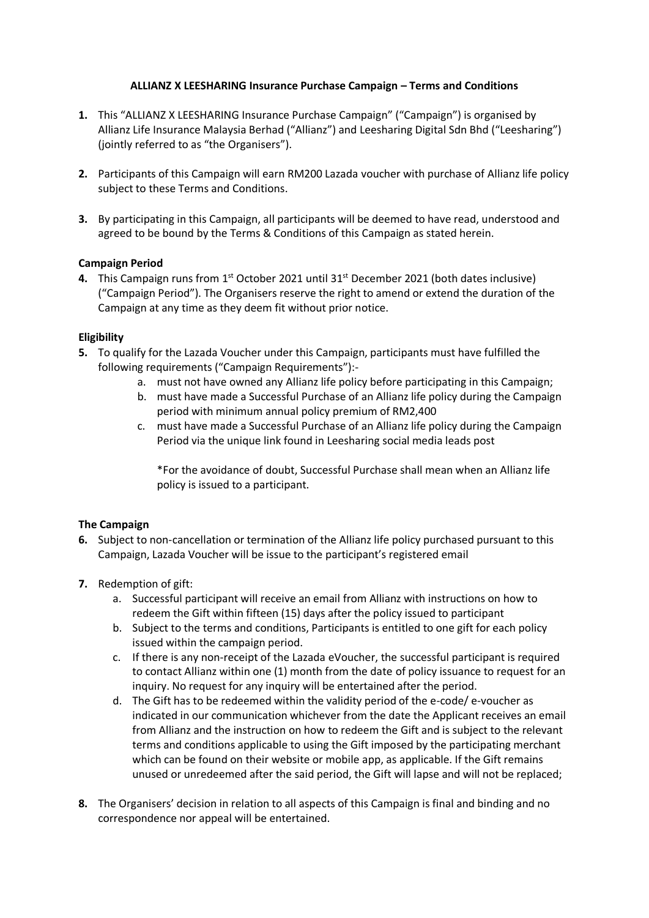## **ALLIANZ X LEESHARING Insurance Purchase Campaign – Terms and Conditions**

- **1.** This "ALLIANZ X LEESHARING Insurance Purchase Campaign" ("Campaign") is organised by Allianz Life Insurance Malaysia Berhad ("Allianz") and Leesharing Digital Sdn Bhd ("Leesharing") (jointly referred to as "the Organisers").
- **2.** Participants of this Campaign will earn RM200 Lazada voucher with purchase of Allianz life policy subject to these Terms and Conditions.
- **3.** By participating in this Campaign, all participants will be deemed to have read, understood and agreed to be bound by the Terms & Conditions of this Campaign as stated herein.

## **Campaign Period**

4. This Campaign runs from 1<sup>st</sup> October 2021 until 31<sup>st</sup> December 2021 (both dates inclusive) ("Campaign Period"). The Organisers reserve the right to amend or extend the duration of the Campaign at any time as they deem fit without prior notice.

## **Eligibility**

- **5.** To qualify for the Lazada Voucher under this Campaign, participants must have fulfilled the following requirements ("Campaign Requirements"):
	- a. must not have owned any Allianz life policy before participating in this Campaign;
	- b. must have made a Successful Purchase of an Allianz life policy during the Campaign period with minimum annual policy premium of RM2,400
	- c. must have made a Successful Purchase of an Allianz life policy during the Campaign Period via the unique link found in Leesharing social media leads post

\*For the avoidance of doubt, Successful Purchase shall mean when an Allianz life policy is issued to a participant.

## **The Campaign**

- **6.** Subject to non-cancellation or termination of the Allianz life policy purchased pursuant to this Campaign, Lazada Voucher will be issue to the participant's registered email
- **7.** Redemption of gift:
	- a. Successful participant will receive an email from Allianz with instructions on how to redeem the Gift within fifteen (15) days after the policy issued to participant
	- b. Subject to the terms and conditions, Participants is entitled to one gift for each policy issued within the campaign period.
	- c. If there is any non-receipt of the Lazada eVoucher, the successful participant is required to contact Allianz within one (1) month from the date of policy issuance to request for an inquiry. No request for any inquiry will be entertained after the period.
	- d. The Gift has to be redeemed within the validity period of the e-code/ e-voucher as indicated in our communication whichever from the date the Applicant receives an email from Allianz and the instruction on how to redeem the Gift and is subject to the relevant terms and conditions applicable to using the Gift imposed by the participating merchant which can be found on their website or mobile app, as applicable. If the Gift remains unused or unredeemed after the said period, the Gift will lapse and will not be replaced;
- **8.** The Organisers' decision in relation to all aspects of this Campaign is final and binding and no correspondence nor appeal will be entertained.